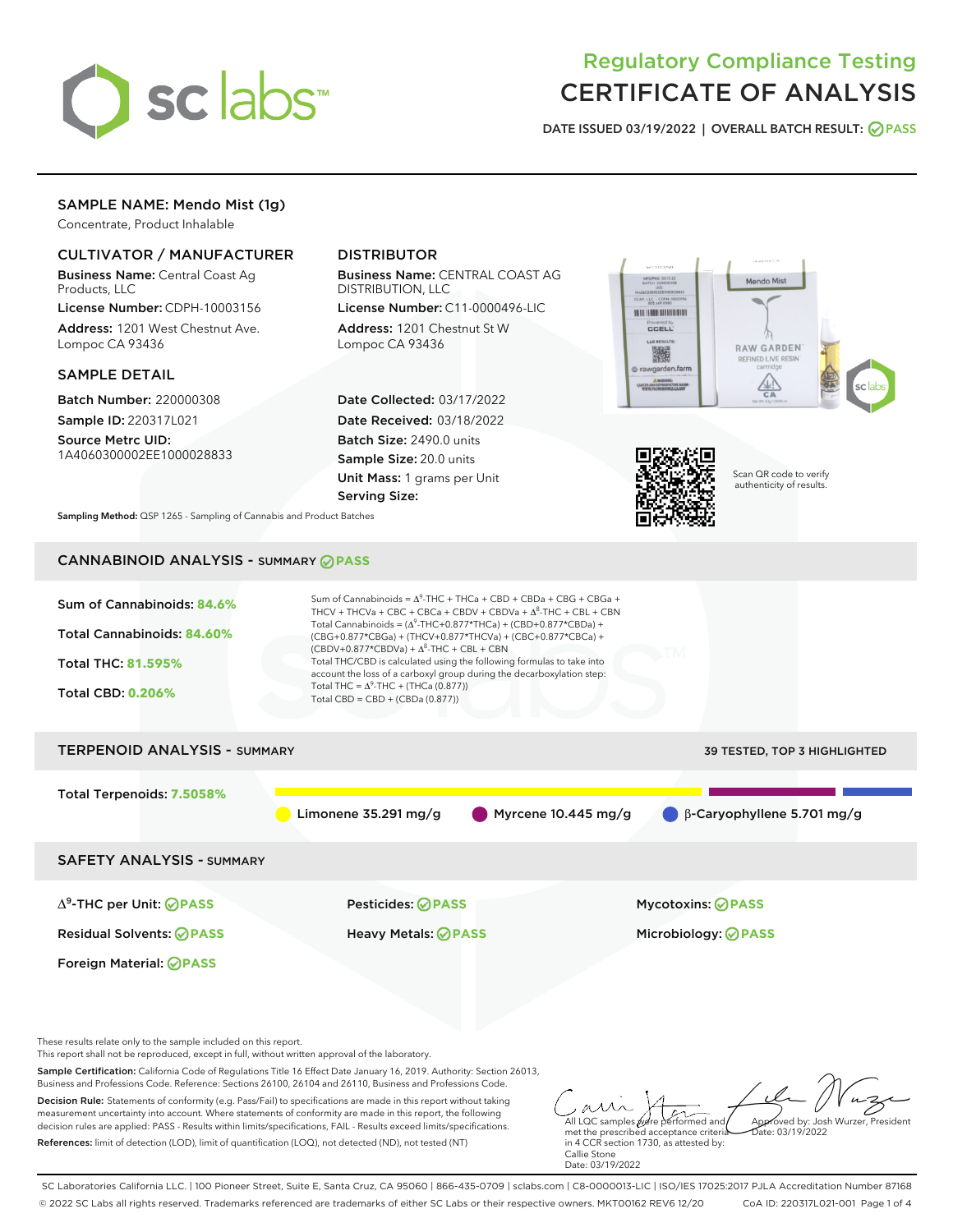

# Regulatory Compliance Testing CERTIFICATE OF ANALYSIS

DATE ISSUED 03/19/2022 | OVERALL BATCH RESULT: @ PASS

# SAMPLE NAME: Mendo Mist (1g)

Concentrate, Product Inhalable

# CULTIVATOR / MANUFACTURER

Business Name: Central Coast Ag Products, LLC

License Number: CDPH-10003156 Address: 1201 West Chestnut Ave. Lompoc CA 93436

### SAMPLE DETAIL

Batch Number: 220000308 Sample ID: 220317L021

Source Metrc UID: 1A4060300002EE1000028833

# DISTRIBUTOR

Business Name: CENTRAL COAST AG DISTRIBUTION, LLC

License Number: C11-0000496-LIC Address: 1201 Chestnut St W Lompoc CA 93436

Date Collected: 03/17/2022 Date Received: 03/18/2022 Batch Size: 2490.0 units Sample Size: 20.0 units Unit Mass: 1 grams per Unit Serving Size:





Scan QR code to verify authenticity of results.

Sampling Method: QSP 1265 - Sampling of Cannabis and Product Batches

# CANNABINOID ANALYSIS - SUMMARY **PASS**



References: limit of detection (LOD), limit of quantification (LOQ), not detected (ND), not tested (NT)

met the prescribed acceptance criteria in 4 CCR section 1730, as attested by: Callie Stone Date: 03/19/2022

 $hat: 03/19/2022$ 

SC Laboratories California LLC. | 100 Pioneer Street, Suite E, Santa Cruz, CA 95060 | 866-435-0709 | sclabs.com | C8-0000013-LIC | ISO/IES 17025:2017 PJLA Accreditation Number 87168 © 2022 SC Labs all rights reserved. Trademarks referenced are trademarks of either SC Labs or their respective owners. MKT00162 REV6 12/20 CoA ID: 220317L021-001 Page 1 of 4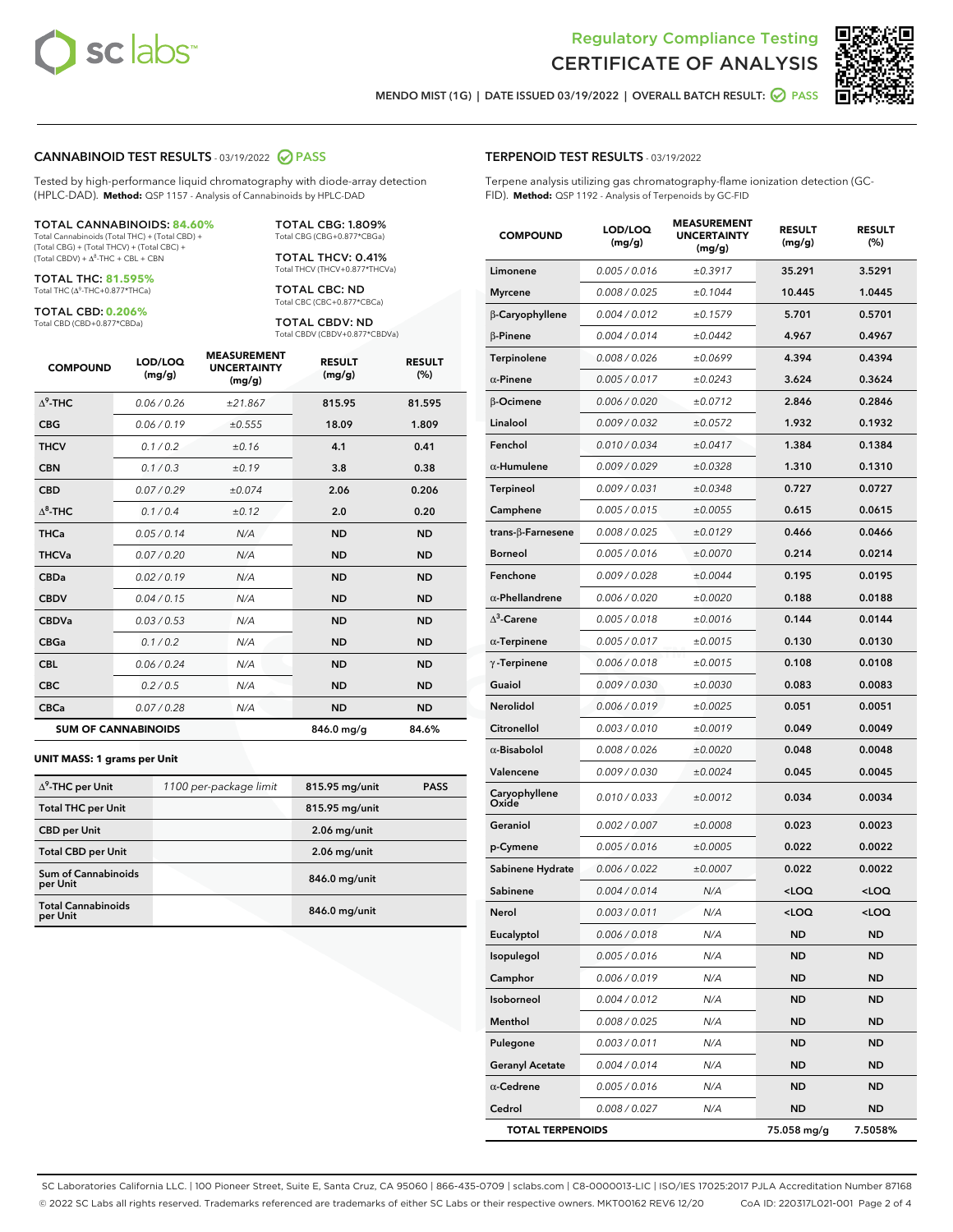



MENDO MIST (1G) | DATE ISSUED 03/19/2022 | OVERALL BATCH RESULT:  $\bigcirc$  PASS

#### CANNABINOID TEST RESULTS - 03/19/2022 2 PASS

Tested by high-performance liquid chromatography with diode-array detection (HPLC-DAD). **Method:** QSP 1157 - Analysis of Cannabinoids by HPLC-DAD

#### TOTAL CANNABINOIDS: **84.60%**

Total Cannabinoids (Total THC) + (Total CBD) + (Total CBG) + (Total THCV) + (Total CBC) +  $(Total CBDV) +  $\Delta^8$ -THC + CBL + CBN$ 

TOTAL THC: **81.595%** Total THC (Δ<sup>9</sup>-THC+0.877\*THCa)

TOTAL CBD: **0.206%** Total CBD (CBD+0.877\*CBDa)

TOTAL CBG: 1.809% Total CBG (CBG+0.877\*CBGa)

TOTAL THCV: 0.41% Total THCV (THCV+0.877\*THCVa)

TOTAL CBC: ND Total CBC (CBC+0.877\*CBCa)

TOTAL CBDV: ND Total CBDV (CBDV+0.877\*CBDVa)

| <b>COMPOUND</b>  | LOD/LOQ<br>(mg/g)          | <b>MEASUREMENT</b><br><b>UNCERTAINTY</b><br>(mg/g) | <b>RESULT</b><br>(mg/g) | <b>RESULT</b><br>(%) |
|------------------|----------------------------|----------------------------------------------------|-------------------------|----------------------|
| $\Lambda^9$ -THC | 0.06/0.26                  | ±21.867                                            | 815.95                  | 81.595               |
| <b>CBG</b>       | 0.06/0.19                  | ±0.555                                             | 18.09                   | 1.809                |
| <b>THCV</b>      | 0.1/0.2                    | ±0.16                                              | 4.1                     | 0.41                 |
| <b>CBN</b>       | 0.1/0.3                    | ±0.19                                              | 3.8                     | 0.38                 |
| <b>CBD</b>       | 0.07/0.29                  | ±0.074                                             | 2.06                    | 0.206                |
| $\Delta^8$ -THC  | 0.1 / 0.4                  | ±0.12                                              | 2.0                     | 0.20                 |
| <b>THCa</b>      | 0.05/0.14                  | N/A                                                | <b>ND</b>               | <b>ND</b>            |
| <b>THCVa</b>     | 0.07/0.20                  | N/A                                                | <b>ND</b>               | <b>ND</b>            |
| <b>CBDa</b>      | 0.02/0.19                  | N/A                                                | <b>ND</b>               | <b>ND</b>            |
| <b>CBDV</b>      | 0.04/0.15                  | N/A                                                | <b>ND</b>               | <b>ND</b>            |
| <b>CBDVa</b>     | 0.03/0.53                  | N/A                                                | <b>ND</b>               | <b>ND</b>            |
| <b>CBGa</b>      | 0.1/0.2                    | N/A                                                | <b>ND</b>               | <b>ND</b>            |
| <b>CBL</b>       | 0.06 / 0.24                | N/A                                                | <b>ND</b>               | <b>ND</b>            |
| <b>CBC</b>       | 0.2 / 0.5                  | N/A                                                | <b>ND</b>               | <b>ND</b>            |
| <b>CBCa</b>      | 0.07 / 0.28                | N/A                                                | <b>ND</b>               | <b>ND</b>            |
|                  | <b>SUM OF CANNABINOIDS</b> |                                                    | 846.0 mg/g              | 84.6%                |

#### **UNIT MASS: 1 grams per Unit**

| $\Delta^9$ -THC per Unit              | 1100 per-package limit | 815.95 mg/unit | <b>PASS</b> |
|---------------------------------------|------------------------|----------------|-------------|
|                                       |                        |                |             |
| <b>Total THC per Unit</b>             |                        | 815.95 mg/unit |             |
| <b>CBD per Unit</b>                   |                        | $2.06$ mg/unit |             |
| <b>Total CBD per Unit</b>             |                        | $2.06$ mg/unit |             |
| Sum of Cannabinoids<br>per Unit       |                        | 846.0 mg/unit  |             |
| <b>Total Cannabinoids</b><br>per Unit |                        | 846.0 mg/unit  |             |

| <b>COMPOUND</b>        | LOD/LOQ<br>(mg/g) | <b>MEASUREMENT</b><br><b>UNCERTAINTY</b><br>(mg/g) | <b>RESULT</b><br>(mg/g)                         | <b>RESULT</b><br>(%) |
|------------------------|-------------------|----------------------------------------------------|-------------------------------------------------|----------------------|
| Limonene               | 0.005 / 0.016     | ±0.3917                                            | 35.291                                          | 3.5291               |
| <b>Myrcene</b>         | 0.008 / 0.025     | ±0.1044                                            | 10.445                                          | 1.0445               |
| β-Caryophyllene        | 0.004 / 0.012     | ±0.1579                                            | 5.701                                           | 0.5701               |
| $\beta$ -Pinene        | 0.004 / 0.014     | ±0.0442                                            | 4.967                                           | 0.4967               |
| Terpinolene            | 0.008 / 0.026     | ±0.0699                                            | 4.394                                           | 0.4394               |
| $\alpha$ -Pinene       | 0.005 / 0.017     | ±0.0243                                            | 3.624                                           | 0.3624               |
| β-Ocimene              | 0.006 / 0.020     | ±0.0712                                            | 2.846                                           | 0.2846               |
| Linalool               | 0.009 / 0.032     | ±0.0572                                            | 1.932                                           | 0.1932               |
| Fenchol                | 0.010 / 0.034     | ±0.0417                                            | 1.384                                           | 0.1384               |
| $\alpha$ -Humulene     | 0.009/0.029       | ±0.0328                                            | 1.310                                           | 0.1310               |
| Terpineol              | 0.009 / 0.031     | ±0.0348                                            | 0.727                                           | 0.0727               |
| Camphene               | 0.005 / 0.015     | ±0.0055                                            | 0.615                                           | 0.0615               |
| trans-ß-Farnesene      | 0.008 / 0.025     | ±0.0129                                            | 0.466                                           | 0.0466               |
| <b>Borneol</b>         | 0.005 / 0.016     | ±0.0070                                            | 0.214                                           | 0.0214               |
| Fenchone               | 0.009 / 0.028     | ±0.0044                                            | 0.195                                           | 0.0195               |
| $\alpha$ -Phellandrene | 0.006 / 0.020     | ±0.0020                                            | 0.188                                           | 0.0188               |
| $\Delta^3$ -Carene     | 0.005 / 0.018     | ±0.0016                                            | 0.144                                           | 0.0144               |
| $\alpha$ -Terpinene    | 0.005 / 0.017     | ±0.0015                                            | 0.130                                           | 0.0130               |
| $\gamma$ -Terpinene    | 0.006 / 0.018     | ±0.0015                                            | 0.108                                           | 0.0108               |
| Guaiol                 | 0.009 / 0.030     | ±0.0030                                            | 0.083                                           | 0.0083               |
| <b>Nerolidol</b>       | 0.006 / 0.019     | ±0.0025                                            | 0.051                                           | 0.0051               |
| Citronellol            | 0.003 / 0.010     | ±0.0019                                            | 0.049                                           | 0.0049               |
| $\alpha$ -Bisabolol    | 0.008 / 0.026     | ±0.0020                                            | 0.048                                           | 0.0048               |
| Valencene              | 0.009 / 0.030     | ±0.0024                                            | 0.045                                           | 0.0045               |
| Caryophyllene<br>Oxide | 0.010 / 0.033     | ±0.0012                                            | 0.034                                           | 0.0034               |
| Geraniol               | 0.002 / 0.007     | ±0.0008                                            | 0.023                                           | 0.0023               |
| p-Cymene               | 0.005 / 0.016     | ±0.0005                                            | 0.022                                           | 0.0022               |
| Sabinene Hydrate       | 0.006 / 0.022     | ±0.0007                                            | 0.022                                           | 0.0022               |
| Sabinene               | 0.004 / 0.014     | N/A                                                | <loq< th=""><th><loq< th=""></loq<></th></loq<> | <loq< th=""></loq<>  |
| Nerol                  | 0.003 / 0.011     | N/A                                                | <loq< th=""><th><loq< th=""></loq<></th></loq<> | <loq< th=""></loq<>  |
| Eucalyptol             | 0.006 / 0.018     | N/A                                                | ND                                              | <b>ND</b>            |
| Isopulegol             | 0.005 / 0.016     | N/A                                                | ND                                              | ND                   |
| Camphor                | 0.006 / 0.019     | N/A                                                | ND                                              | <b>ND</b>            |
| Isoborneol             | 0.004 / 0.012     | N/A                                                | ND                                              | ND                   |
| Menthol                | 0.008 / 0.025     | N/A                                                | ND                                              | ND                   |
| Pulegone               | 0.003 / 0.011     | N/A                                                | ND                                              | ND                   |
| <b>Geranyl Acetate</b> | 0.004 / 0.014     | N/A                                                | ND                                              | ND                   |

α-**Cedrene** 0.005/0.016 N/A ND ND Cedrol 0.008 / 0.027 N/A ND ND TOTAL TERPENOIDS 75.058 mg/g 7.5058%

SC Laboratories California LLC. | 100 Pioneer Street, Suite E, Santa Cruz, CA 95060 | 866-435-0709 | sclabs.com | C8-0000013-LIC | ISO/IES 17025:2017 PJLA Accreditation Number 87168 © 2022 SC Labs all rights reserved. Trademarks referenced are trademarks of either SC Labs or their respective owners. MKT00162 REV6 12/20 CoA ID: 220317L021-001 Page 2 of 4

# TERPENOID TEST RESULTS - 03/19/2022

Terpene analysis utilizing gas chromatography-flame ionization detection (GC-FID). **Method:** QSP 1192 - Analysis of Terpenoids by GC-FID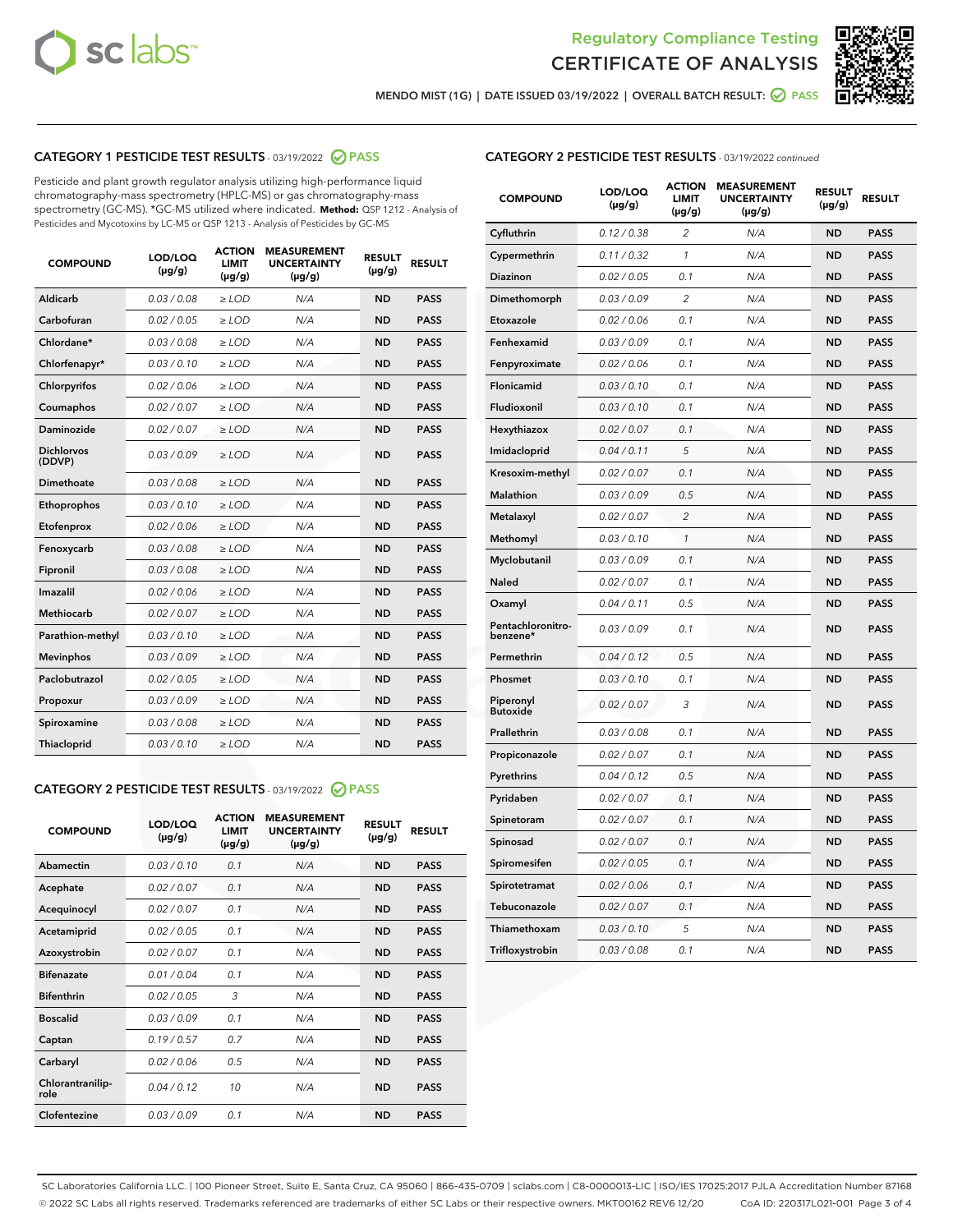



MENDO MIST (1G) | DATE ISSUED 03/19/2022 | OVERALL BATCH RESULT: ● PASS

# CATEGORY 1 PESTICIDE TEST RESULTS - 03/19/2022 2 PASS

Pesticide and plant growth regulator analysis utilizing high-performance liquid chromatography-mass spectrometry (HPLC-MS) or gas chromatography-mass spectrometry (GC-MS). \*GC-MS utilized where indicated. **Method:** QSP 1212 - Analysis of Pesticides and Mycotoxins by LC-MS or QSP 1213 - Analysis of Pesticides by GC-MS

| <b>COMPOUND</b>             | LOD/LOQ<br>$(\mu g/g)$ | <b>ACTION</b><br><b>LIMIT</b><br>$(\mu g/g)$ | <b>MEASUREMENT</b><br><b>UNCERTAINTY</b><br>$(\mu g/g)$ | <b>RESULT</b><br>$(\mu g/g)$ | <b>RESULT</b> |
|-----------------------------|------------------------|----------------------------------------------|---------------------------------------------------------|------------------------------|---------------|
| Aldicarb                    | 0.03 / 0.08            | $>$ LOD                                      | N/A                                                     | <b>ND</b>                    | <b>PASS</b>   |
| Carbofuran                  | 0.02 / 0.05            | ≥ LOD                                        | N/A                                                     | <b>ND</b>                    | <b>PASS</b>   |
| Chlordane*                  | 0.03/0.08              | $>$ LOD                                      | N/A                                                     | <b>ND</b>                    | <b>PASS</b>   |
| Chlorfenapyr*               | 0.03/0.10              | $>$ LOD                                      | N/A                                                     | <b>ND</b>                    | <b>PASS</b>   |
| Chlorpyrifos                | 0.02 / 0.06            | $>$ LOD                                      | N/A                                                     | <b>ND</b>                    | <b>PASS</b>   |
| Coumaphos                   | 0.02 / 0.07            | $>$ LOD                                      | N/A                                                     | <b>ND</b>                    | <b>PASS</b>   |
| <b>Daminozide</b>           | 0.02 / 0.07            | $\ge$ LOD                                    | N/A                                                     | <b>ND</b>                    | <b>PASS</b>   |
| <b>Dichlorvos</b><br>(DDVP) | 0.03/0.09              | $>$ LOD                                      | N/A                                                     | <b>ND</b>                    | <b>PASS</b>   |
| Dimethoate                  | 0.03 / 0.08            | $>$ LOD                                      | N/A                                                     | <b>ND</b>                    | <b>PASS</b>   |
| Ethoprophos                 | 0.03/0.10              | $>$ LOD                                      | N/A                                                     | <b>ND</b>                    | <b>PASS</b>   |
| Etofenprox                  | 0.02 / 0.06            | $\geq$ LOD                                   | N/A                                                     | <b>ND</b>                    | <b>PASS</b>   |
| Fenoxycarb                  | 0.03/0.08              | $>$ LOD                                      | N/A                                                     | <b>ND</b>                    | <b>PASS</b>   |
| Fipronil                    | 0.03 / 0.08            | $\geq$ LOD                                   | N/A                                                     | <b>ND</b>                    | <b>PASS</b>   |
| Imazalil                    | 0.02 / 0.06            | $\ge$ LOD                                    | N/A                                                     | <b>ND</b>                    | <b>PASS</b>   |
| <b>Methiocarb</b>           | 0.02 / 0.07            | $\ge$ LOD                                    | N/A                                                     | <b>ND</b>                    | <b>PASS</b>   |
| Parathion-methyl            | 0.03/0.10              | $\geq$ LOD                                   | N/A                                                     | <b>ND</b>                    | <b>PASS</b>   |
| <b>Mevinphos</b>            | 0.03/0.09              | $\ge$ LOD                                    | N/A                                                     | <b>ND</b>                    | <b>PASS</b>   |
| Paclobutrazol               | 0.02 / 0.05            | $\ge$ LOD                                    | N/A                                                     | <b>ND</b>                    | <b>PASS</b>   |
| Propoxur                    | 0.03/0.09              | $\geq$ LOD                                   | N/A                                                     | <b>ND</b>                    | <b>PASS</b>   |
| Spiroxamine                 | 0.03 / 0.08            | $\ge$ LOD                                    | N/A                                                     | <b>ND</b>                    | <b>PASS</b>   |
| Thiacloprid                 | 0.03/0.10              | $>$ LOD                                      | N/A                                                     | <b>ND</b>                    | <b>PASS</b>   |

## CATEGORY 2 PESTICIDE TEST RESULTS - 03/19/2022 @ PASS

| <b>COMPOUND</b>          | LOD/LOQ<br>$(\mu g/g)$ | <b>ACTION</b><br><b>LIMIT</b><br>$(\mu g/g)$ | <b>MEASUREMENT</b><br><b>UNCERTAINTY</b><br>$(\mu g/g)$ | <b>RESULT</b><br>$(\mu g/g)$ | <b>RESULT</b> |  |
|--------------------------|------------------------|----------------------------------------------|---------------------------------------------------------|------------------------------|---------------|--|
| Abamectin                | 0.03/0.10              | 0.1                                          | N/A                                                     | <b>ND</b>                    | <b>PASS</b>   |  |
| Acephate                 | 0.02/0.07              | 0.1                                          | N/A                                                     | <b>ND</b>                    | <b>PASS</b>   |  |
| Acequinocyl              | 0.02/0.07              | 0.1                                          | N/A                                                     | <b>ND</b>                    | <b>PASS</b>   |  |
| Acetamiprid              | 0.02/0.05              | 0.1                                          | N/A                                                     | <b>ND</b>                    | <b>PASS</b>   |  |
| Azoxystrobin             | 0.02/0.07              | 0.1                                          | N/A                                                     | <b>ND</b>                    | <b>PASS</b>   |  |
| <b>Bifenazate</b>        | 0.01/0.04              | 0.1                                          | N/A                                                     | <b>ND</b>                    | <b>PASS</b>   |  |
| <b>Bifenthrin</b>        | 0.02 / 0.05            | 3                                            | N/A                                                     | <b>ND</b>                    | <b>PASS</b>   |  |
| <b>Boscalid</b>          | 0.03/0.09              | 0.1                                          | N/A                                                     | <b>ND</b>                    | <b>PASS</b>   |  |
| Captan                   | 0.19/0.57              | 0.7                                          | N/A                                                     | <b>ND</b>                    | <b>PASS</b>   |  |
| Carbaryl                 | 0.02/0.06              | 0.5                                          | N/A                                                     | <b>ND</b>                    | <b>PASS</b>   |  |
| Chlorantranilip-<br>role | 0.04/0.12              | 10                                           | N/A                                                     | <b>ND</b>                    | <b>PASS</b>   |  |
| Clofentezine             | 0.03/0.09              | 0.1                                          | N/A                                                     | <b>ND</b>                    | <b>PASS</b>   |  |

| <b>COMPOUND</b>               | LOD/LOQ<br>$(\mu g/g)$ | <b>ACTION</b><br><b>LIMIT</b><br>(µg/g) | <b>MEASUREMENT</b><br><b>UNCERTAINTY</b><br>$(\mu g/g)$ | <b>RESULT</b><br>(µg/g) | <b>RESULT</b> |
|-------------------------------|------------------------|-----------------------------------------|---------------------------------------------------------|-------------------------|---------------|
| Cyfluthrin                    | 0.12 / 0.38            | $\overline{c}$                          | N/A                                                     | <b>ND</b>               | <b>PASS</b>   |
| Cypermethrin                  | 0.11 / 0.32            | 1                                       | N/A                                                     | <b>ND</b>               | <b>PASS</b>   |
| <b>Diazinon</b>               | 0.02 / 0.05            | 0.1                                     | N/A                                                     | <b>ND</b>               | <b>PASS</b>   |
| Dimethomorph                  | 0.03 / 0.09            | $\overline{c}$                          | N/A                                                     | <b>ND</b>               | <b>PASS</b>   |
| Etoxazole                     | 0.02 / 0.06            | 0.1                                     | N/A                                                     | <b>ND</b>               | <b>PASS</b>   |
| Fenhexamid                    | 0.03 / 0.09            | 0.1                                     | N/A                                                     | <b>ND</b>               | <b>PASS</b>   |
| Fenpyroximate                 | 0.02 / 0.06            | 0.1                                     | N/A                                                     | <b>ND</b>               | <b>PASS</b>   |
| Flonicamid                    | 0.03 / 0.10            | 0.1                                     | N/A                                                     | <b>ND</b>               | <b>PASS</b>   |
| Fludioxonil                   | 0.03 / 0.10            | 0.1                                     | N/A                                                     | <b>ND</b>               | <b>PASS</b>   |
| Hexythiazox                   | 0.02 / 0.07            | 0.1                                     | N/A                                                     | <b>ND</b>               | <b>PASS</b>   |
| Imidacloprid                  | 0.04 / 0.11            | 5                                       | N/A                                                     | <b>ND</b>               | <b>PASS</b>   |
| Kresoxim-methyl               | 0.02 / 0.07            | 0.1                                     | N/A                                                     | <b>ND</b>               | <b>PASS</b>   |
| Malathion                     | 0.03 / 0.09            | 0.5                                     | N/A                                                     | <b>ND</b>               | <b>PASS</b>   |
| Metalaxyl                     | 0.02 / 0.07            | $\overline{c}$                          | N/A                                                     | <b>ND</b>               | <b>PASS</b>   |
| Methomyl                      | 0.03 / 0.10            | $\mathcal{I}$                           | N/A                                                     | <b>ND</b>               | <b>PASS</b>   |
| Myclobutanil                  | 0.03 / 0.09            | 0.1                                     | N/A                                                     | <b>ND</b>               | <b>PASS</b>   |
| <b>Naled</b>                  | 0.02 / 0.07            | 0.1                                     | N/A                                                     | <b>ND</b>               | <b>PASS</b>   |
| Oxamyl                        | 0.04 / 0.11            | 0.5                                     | N/A                                                     | <b>ND</b>               | <b>PASS</b>   |
| Pentachloronitro-<br>benzene* | 0.03/0.09              | 0.1                                     | N/A                                                     | <b>ND</b>               | <b>PASS</b>   |
| Permethrin                    | 0.04 / 0.12            | 0.5                                     | N/A                                                     | <b>ND</b>               | <b>PASS</b>   |
| Phosmet                       | 0.03 / 0.10            | 0.1                                     | N/A                                                     | <b>ND</b>               | <b>PASS</b>   |
| Piperonyl<br><b>Butoxide</b>  | 0.02 / 0.07            | 3                                       | N/A                                                     | <b>ND</b>               | <b>PASS</b>   |
| Prallethrin                   | 0.03 / 0.08            | 0.1                                     | N/A                                                     | <b>ND</b>               | <b>PASS</b>   |
| Propiconazole                 | 0.02 / 0.07            | 0.1                                     | N/A                                                     | <b>ND</b>               | <b>PASS</b>   |
| Pyrethrins                    | 0.04 / 0.12            | 0.5                                     | N/A                                                     | <b>ND</b>               | <b>PASS</b>   |
| Pyridaben                     | 0.02 / 0.07            | 0.1                                     | N/A                                                     | <b>ND</b>               | <b>PASS</b>   |
| Spinetoram                    | 0.02 / 0.07            | 0.1                                     | N/A                                                     | <b>ND</b>               | <b>PASS</b>   |
| Spinosad                      | 0.02 / 0.07            | 0.1                                     | N/A                                                     | <b>ND</b>               | <b>PASS</b>   |
| Spiromesifen                  | 0.02 / 0.05            | 0.1                                     | N/A                                                     | <b>ND</b>               | <b>PASS</b>   |
| Spirotetramat                 | 0.02 / 0.06            | 0.1                                     | N/A                                                     | <b>ND</b>               | <b>PASS</b>   |
| Tebuconazole                  | 0.02 / 0.07            | 0.1                                     | N/A                                                     | <b>ND</b>               | <b>PASS</b>   |
| Thiamethoxam                  | 0.03 / 0.10            | 5                                       | N/A                                                     | <b>ND</b>               | <b>PASS</b>   |
| Trifloxystrobin               | 0.03 / 0.08            | 0.1                                     | N/A                                                     | <b>ND</b>               | <b>PASS</b>   |

SC Laboratories California LLC. | 100 Pioneer Street, Suite E, Santa Cruz, CA 95060 | 866-435-0709 | sclabs.com | C8-0000013-LIC | ISO/IES 17025:2017 PJLA Accreditation Number 87168 © 2022 SC Labs all rights reserved. Trademarks referenced are trademarks of either SC Labs or their respective owners. MKT00162 REV6 12/20 CoA ID: 220317L021-001 Page 3 of 4